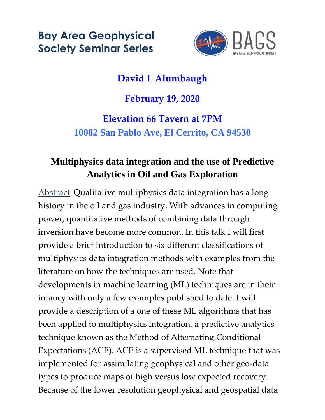**Bay Area Geophysical Society Seminar Series**



# **David L Alumbaugh**

#### **February 19, 2020**

## **Elevation 66 Tavern at 7PM 10082 San Pablo Ave, El Cerrito, CA 94530**

### **Multiphysics data integration and the use of Predictive Analytics in Oil and Gas Exploration**

Abstract: Qualitative multiphysics data integration has a long history in the oil and gas industry. With advances in computing power, quantitative methods of combining data through inversion have become more common. In this talk I will first provide a brief introduction to six different classifications of multiphysics data integration methods with examples from the literature on how the techniques are used. Note that developments in machine learning (ML) techniques are in their infancy with only a few examples published to date. I will provide a description of a one of these ML algorithms that has been applied to multiphysics integration, a predictive analytics technique known as the Method of Alternating Conditional Expectations (ACE). ACE is a supervised ML technique that was implemented for assimilating geophysical and other geo-data types to produce maps of high versus low expected recovery. Because of the lower resolution geophysical and geospatial data